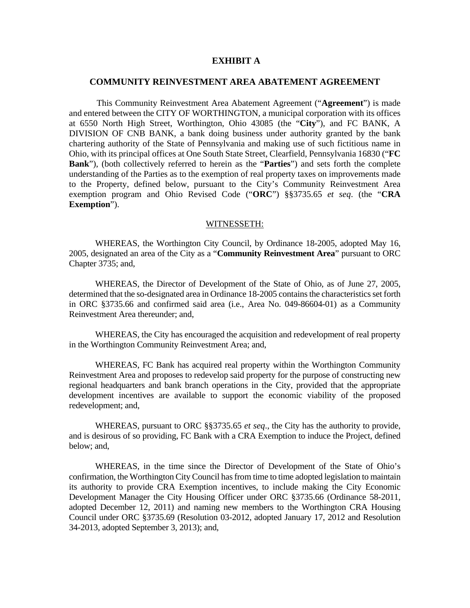## **EXHIBIT A**

## **COMMUNITY REINVESTMENT AREA ABATEMENT AGREEMENT**

This Community Reinvestment Area Abatement Agreement ("**Agreement**") is made and entered between the CITY OF WORTHINGTON, a municipal corporation with its offices at 6550 North High Street, Worthington, Ohio 43085 (the "**City**"), and FC BANK, A DIVISION OF CNB BANK, a bank doing business under authority granted by the bank chartering authority of the State of Pennsylvania and making use of such fictitious name in Ohio, with its principal offices at One South State Street, Clearfield, Pennsylvania 16830 ("**FC Bank**"), (both collectively referred to herein as the "**Parties**") and sets forth the complete understanding of the Parties as to the exemption of real property taxes on improvements made to the Property, defined below, pursuant to the City's Community Reinvestment Area exemption program and Ohio Revised Code ("**ORC**") §§3735.65 *et seq*. (the "**CRA Exemption**").

## WITNESSETH:

 WHEREAS, the Worthington City Council, by Ordinance 18-2005, adopted May 16, 2005, designated an area of the City as a "**Community Reinvestment Area**" pursuant to ORC Chapter 3735; and,

 WHEREAS, the Director of Development of the State of Ohio, as of June 27, 2005, determined that the so-designated area in Ordinance 18-2005 contains the characteristics set forth in ORC §3735.66 and confirmed said area (i.e., Area No. 049-86604-01) as a Community Reinvestment Area thereunder; and,

 WHEREAS, the City has encouraged the acquisition and redevelopment of real property in the Worthington Community Reinvestment Area; and,

 WHEREAS, FC Bank has acquired real property within the Worthington Community Reinvestment Area and proposes to redevelop said property for the purpose of constructing new regional headquarters and bank branch operations in the City, provided that the appropriate development incentives are available to support the economic viability of the proposed redevelopment; and,

 WHEREAS, pursuant to ORC §§3735.65 *et seq*., the City has the authority to provide, and is desirous of so providing, FC Bank with a CRA Exemption to induce the Project, defined below; and,

 WHEREAS, in the time since the Director of Development of the State of Ohio's confirmation, the Worthington City Council has from time to time adopted legislation to maintain its authority to provide CRA Exemption incentives, to include making the City Economic Development Manager the City Housing Officer under ORC §3735.66 (Ordinance 58-2011, adopted December 12, 2011) and naming new members to the Worthington CRA Housing Council under ORC §3735.69 (Resolution 03-2012, adopted January 17, 2012 and Resolution 34-2013, adopted September 3, 2013); and,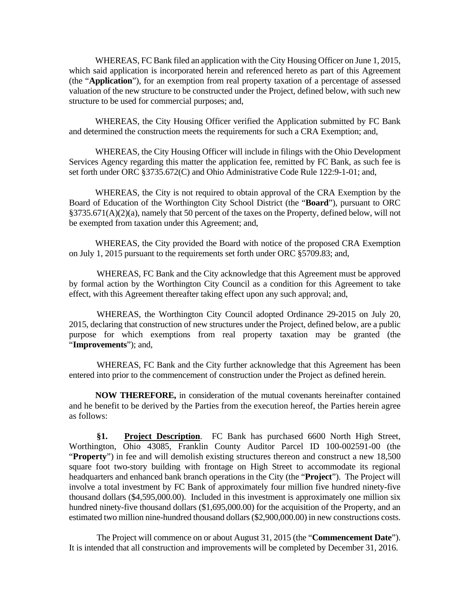WHEREAS, FC Bank filed an application with the City Housing Officer on June 1, 2015, which said application is incorporated herein and referenced hereto as part of this Agreement (the "**Application**"), for an exemption from real property taxation of a percentage of assessed valuation of the new structure to be constructed under the Project, defined below, with such new structure to be used for commercial purposes; and,

 WHEREAS, the City Housing Officer verified the Application submitted by FC Bank and determined the construction meets the requirements for such a CRA Exemption; and,

 WHEREAS, the City Housing Officer will include in filings with the Ohio Development Services Agency regarding this matter the application fee, remitted by FC Bank, as such fee is set forth under ORC §3735.672(C) and Ohio Administrative Code Rule 122:9-1-01; and,

 WHEREAS, the City is not required to obtain approval of the CRA Exemption by the Board of Education of the Worthington City School District (the "**Board**"), pursuant to ORC §3735.671(A)(2)(a), namely that 50 percent of the taxes on the Property, defined below, will not be exempted from taxation under this Agreement; and,

 WHEREAS, the City provided the Board with notice of the proposed CRA Exemption on July 1, 2015 pursuant to the requirements set forth under ORC §5709.83; and,

WHEREAS, FC Bank and the City acknowledge that this Agreement must be approved by formal action by the Worthington City Council as a condition for this Agreement to take effect, with this Agreement thereafter taking effect upon any such approval; and,

WHEREAS, the Worthington City Council adopted Ordinance 29-2015 on July 20, 2015, declaring that construction of new structures under the Project, defined below, are a public purpose for which exemptions from real property taxation may be granted (the "**Improvements**"); and,

WHEREAS, FC Bank and the City further acknowledge that this Agreement has been entered into prior to the commencement of construction under the Project as defined herein.

**NOW THEREFORE,** in consideration of the mutual covenants hereinafter contained and he benefit to be derived by the Parties from the execution hereof, the Parties herein agree as follows:

**§1. Project Description**. FC Bank has purchased 6600 North High Street, Worthington, Ohio 43085, Franklin County Auditor Parcel ID 100-002591-00 (the "**Property**") in fee and will demolish existing structures thereon and construct a new 18,500 square foot two-story building with frontage on High Street to accommodate its regional headquarters and enhanced bank branch operations in the City (the "**Project**"). The Project will involve a total investment by FC Bank of approximately four million five hundred ninety-five thousand dollars (\$4,595,000.00). Included in this investment is approximately one million six hundred ninety-five thousand dollars (\$1,695,000.00) for the acquisition of the Property, and an estimated two million nine-hundred thousand dollars (\$2,900,000.00) in new constructions costs.

The Project will commence on or about August 31, 2015 (the "**Commencement Date**"). It is intended that all construction and improvements will be completed by December 31, 2016.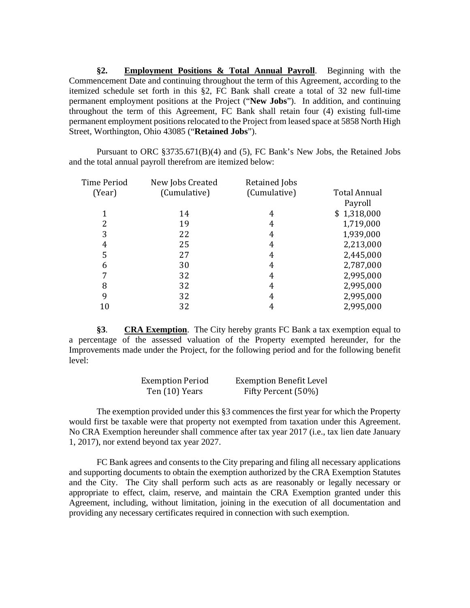**§2. Employment Positions & Total Annual Payroll**. Beginning with the Commencement Date and continuing throughout the term of this Agreement, according to the itemized schedule set forth in this §2, FC Bank shall create a total of 32 new full-time permanent employment positions at the Project ("**New Jobs**"). In addition, and continuing throughout the term of this Agreement, FC Bank shall retain four (4) existing full-time permanent employment positions relocated to the Project from leased space at 5858 North High Street, Worthington, Ohio 43085 ("**Retained Jobs**").

Pursuant to ORC §3735.671(B)(4) and (5), FC Bank's New Jobs, the Retained Jobs and the total annual payroll therefrom are itemized below:

| Time Period | New Jobs Created | Retained Jobs |                     |
|-------------|------------------|---------------|---------------------|
| (Year)      | (Cumulative)     | (Cumulative)  | <b>Total Annual</b> |
|             |                  |               | Payroll             |
|             | 14               | 4             | \$1,318,000         |
| 2           | 19               | 4             | 1,719,000           |
| 3           | 22               | 4             | 1,939,000           |
| 4           | 25               | 4             | 2,213,000           |
| 5           | 27               | 4             | 2,445,000           |
| 6           | 30               | 4             | 2,787,000           |
| 7           | 32               | 4             | 2,995,000           |
| 8           | 32               | 4             | 2,995,000           |
| 9           | 32               | 4             | 2,995,000           |
| 10          | 32               | 4             | 2,995,000           |

**§3**. **CRA Exemption**. The City hereby grants FC Bank a tax exemption equal to a percentage of the assessed valuation of the Property exempted hereunder, for the Improvements made under the Project, for the following period and for the following benefit level:

| <b>Exemption Period</b> | <b>Exemption Benefit Level</b> |
|-------------------------|--------------------------------|
| Ten (10) Years          | Fifty Percent (50%)            |

The exemption provided under this §3 commences the first year for which the Property would first be taxable were that property not exempted from taxation under this Agreement. No CRA Exemption hereunder shall commence after tax year 2017 (i.e., tax lien date January 1, 2017), nor extend beyond tax year 2027.

FC Bank agrees and consents to the City preparing and filing all necessary applications and supporting documents to obtain the exemption authorized by the CRA Exemption Statutes and the City. The City shall perform such acts as are reasonably or legally necessary or appropriate to effect, claim, reserve, and maintain the CRA Exemption granted under this Agreement, including, without limitation, joining in the execution of all documentation and providing any necessary certificates required in connection with such exemption.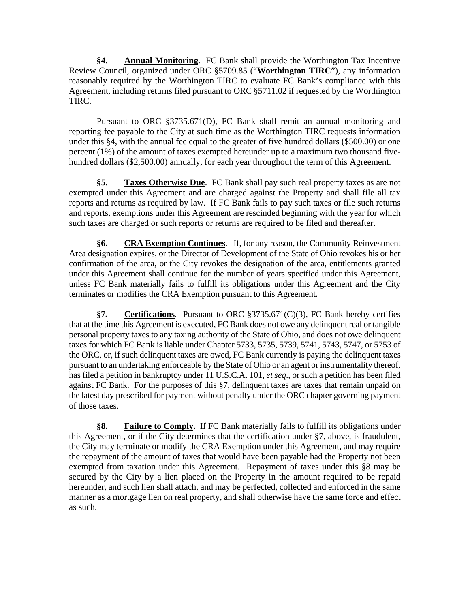**§4**. **Annual Monitoring**. FC Bank shall provide the Worthington Tax Incentive Review Council, organized under ORC §5709.85 ("**Worthington TIRC**"), any information reasonably required by the Worthington TIRC to evaluate FC Bank's compliance with this Agreement, including returns filed pursuant to ORC §5711.02 if requested by the Worthington TIRC.

Pursuant to ORC §3735.671(D), FC Bank shall remit an annual monitoring and reporting fee payable to the City at such time as the Worthington TIRC requests information under this §4, with the annual fee equal to the greater of five hundred dollars (\$500.00) or one percent (1%) of the amount of taxes exempted hereunder up to a maximum two thousand fivehundred dollars (\$2,500.00) annually, for each year throughout the term of this Agreement.

**§5. Taxes Otherwise Due**. FC Bank shall pay such real property taxes as are not exempted under this Agreement and are charged against the Property and shall file all tax reports and returns as required by law. If FC Bank fails to pay such taxes or file such returns and reports, exemptions under this Agreement are rescinded beginning with the year for which such taxes are charged or such reports or returns are required to be filed and thereafter.

**§6. CRA Exemption Continues**.If, for any reason, the Community Reinvestment Area designation expires, or the Director of Development of the State of Ohio revokes his or her confirmation of the area, or the City revokes the designation of the area, entitlements granted under this Agreement shall continue for the number of years specified under this Agreement, unless FC Bank materially fails to fulfill its obligations under this Agreement and the City terminates or modifies the CRA Exemption pursuant to this Agreement.

**§7. Certifications**. Pursuant to ORC §3735.671(C)(3), FC Bank hereby certifies that at the time this Agreement is executed, FC Bank does not owe any delinquent real or tangible personal property taxes to any taxing authority of the State of Ohio, and does not owe delinquent taxes for which FC Bank is liable under Chapter 5733, 5735, 5739, 5741, 5743, 5747, or 5753 of the ORC, or, if such delinquent taxes are owed, FC Bank currently is paying the delinquent taxes pursuant to an undertaking enforceable by the State of Ohio or an agent or instrumentality thereof, has filed a petition in bankruptcy under 11 U.S.C.A. 101, *et seq*., or such a petition has been filed against FC Bank. For the purposes of this §7, delinquent taxes are taxes that remain unpaid on the latest day prescribed for payment without penalty under the ORC chapter governing payment of those taxes.

**§8. Failure to Comply.** If FC Bank materially fails to fulfill its obligations under this Agreement, or if the City determines that the certification under §7, above, is fraudulent, the City may terminate or modify the CRA Exemption under this Agreement, and may require the repayment of the amount of taxes that would have been payable had the Property not been exempted from taxation under this Agreement. Repayment of taxes under this §8 may be secured by the City by a lien placed on the Property in the amount required to be repaid hereunder, and such lien shall attach, and may be perfected, collected and enforced in the same manner as a mortgage lien on real property, and shall otherwise have the same force and effect as such.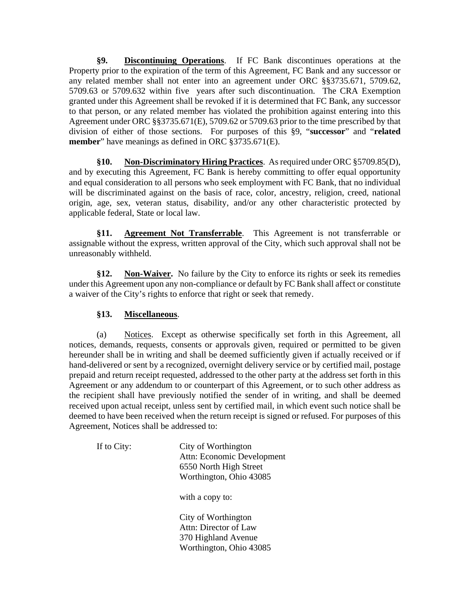**§9. Discontinuing Operations**. If FC Bank discontinues operations at the Property prior to the expiration of the term of this Agreement, FC Bank and any successor or any related member shall not enter into an agreement under ORC §§3735.671, 5709.62, 5709.63 or 5709.632 within five years after such discontinuation. The CRA Exemption granted under this Agreement shall be revoked if it is determined that FC Bank, any successor to that person, or any related member has violated the prohibition against entering into this Agreement under ORC §§3735.671(E), 5709.62 or 5709.63 prior to the time prescribed by that division of either of those sections. For purposes of this §9, "**successor**" and "**related member**" have meanings as defined in ORC §3735.671(E).

**§10. Non-Discriminatory Hiring Practices**. As required under ORC §5709.85(D), and by executing this Agreement, FC Bank is hereby committing to offer equal opportunity and equal consideration to all persons who seek employment with FC Bank, that no individual will be discriminated against on the basis of race, color, ancestry, religion, creed, national origin, age, sex, veteran status, disability, and/or any other characteristic protected by applicable federal, State or local law.

**§11. Agreement Not Transferrable**. This Agreement is not transferrable or assignable without the express, written approval of the City, which such approval shall not be unreasonably withheld.

**§12. Non-Waiver.** No failure by the City to enforce its rights or seek its remedies under this Agreement upon any non-compliance or default by FC Bank shall affect or constitute a waiver of the City's rights to enforce that right or seek that remedy.

## **§13. Miscellaneous**.

(a) Notices. Except as otherwise specifically set forth in this Agreement, all notices, demands, requests, consents or approvals given, required or permitted to be given hereunder shall be in writing and shall be deemed sufficiently given if actually received or if hand-delivered or sent by a recognized, overnight delivery service or by certified mail, postage prepaid and return receipt requested, addressed to the other party at the address set forth in this Agreement or any addendum to or counterpart of this Agreement, or to such other address as the recipient shall have previously notified the sender of in writing, and shall be deemed received upon actual receipt, unless sent by certified mail, in which event such notice shall be deemed to have been received when the return receipt is signed or refused. For purposes of this Agreement, Notices shall be addressed to:

If to City: City of Worthington Attn: Economic Development 6550 North High Street Worthington, Ohio 43085

with a copy to:

 City of Worthington Attn: Director of Law 370 Highland Avenue Worthington, Ohio 43085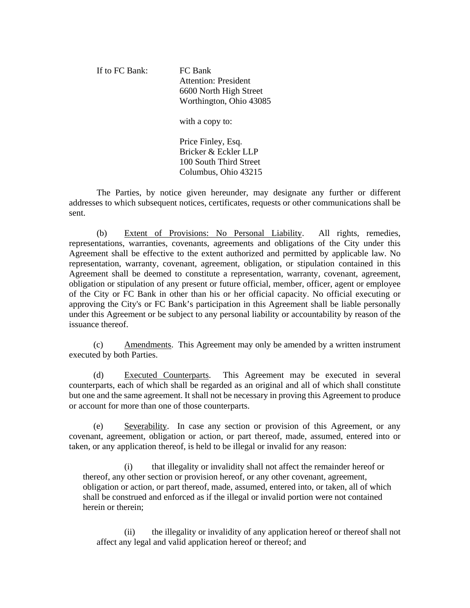If to FC Bank: FC Bank Attention: President 6600 North High Street Worthington, Ohio 43085 with a copy to: Price Finley, Esq. Bricker & Eckler LLP

100 South Third Street Columbus, Ohio 43215

 The Parties, by notice given hereunder, may designate any further or different addresses to which subsequent notices, certificates, requests or other communications shall be sent.

(b) Extent of Provisions: No Personal Liability. All rights, remedies, representations, warranties, covenants, agreements and obligations of the City under this Agreement shall be effective to the extent authorized and permitted by applicable law. No representation, warranty, covenant, agreement, obligation, or stipulation contained in this Agreement shall be deemed to constitute a representation, warranty, covenant, agreement, obligation or stipulation of any present or future official, member, officer, agent or employee of the City or FC Bank in other than his or her official capacity. No official executing or approving the City's or FC Bank's participation in this Agreement shall be liable personally under this Agreement or be subject to any personal liability or accountability by reason of the issuance thereof.

(c) Amendments. This Agreement may only be amended by a written instrument executed by both Parties.

(d) Executed Counterparts. This Agreement may be executed in several counterparts, each of which shall be regarded as an original and all of which shall constitute but one and the same agreement. It shall not be necessary in proving this Agreement to produce or account for more than one of those counterparts.

(e) Severability. In case any section or provision of this Agreement, or any covenant, agreement, obligation or action, or part thereof, made, assumed, entered into or taken, or any application thereof, is held to be illegal or invalid for any reason:

 (i) that illegality or invalidity shall not affect the remainder hereof or thereof, any other section or provision hereof, or any other covenant, agreement, obligation or action, or part thereof, made, assumed, entered into, or taken, all of which shall be construed and enforced as if the illegal or invalid portion were not contained herein or therein;

 (ii) the illegality or invalidity of any application hereof or thereof shall not affect any legal and valid application hereof or thereof; and